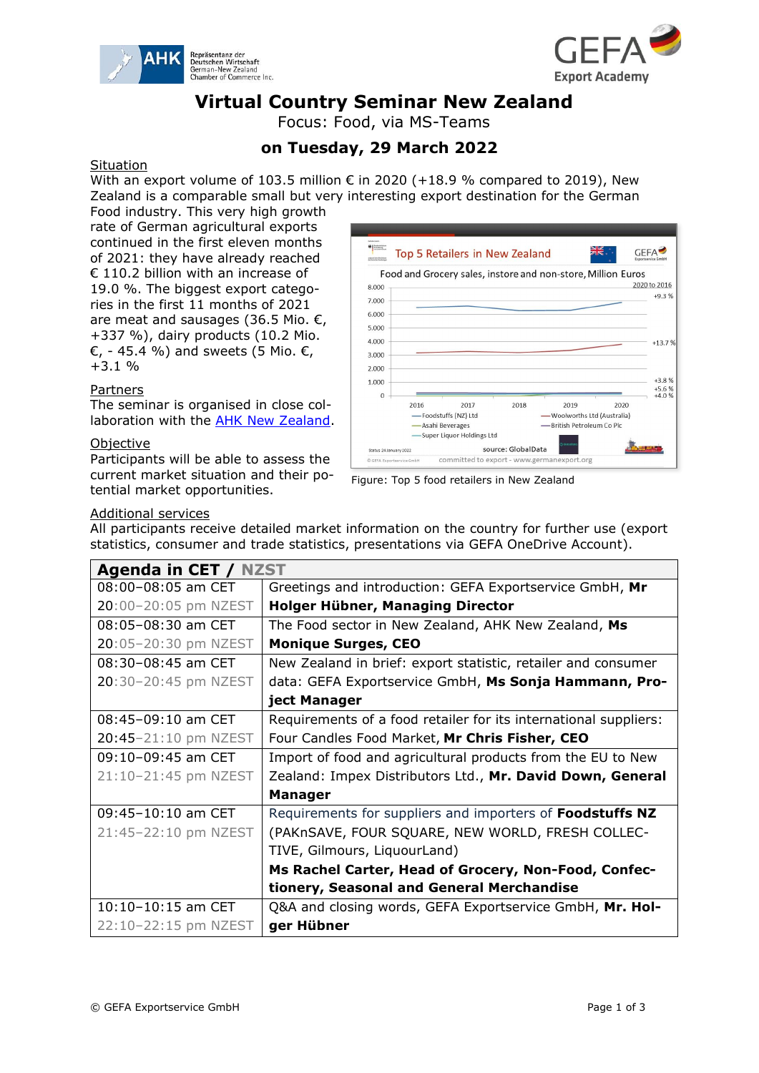



## **Virtual Country Seminar New Zealand**

Focus: Food, via MS-Teams

### **on Tuesday, 29 March 2022**

#### Situation

With an export volume of 103.5 million  $\epsilon$  in 2020 (+18.9 % compared to 2019), New Zealand is a comparable small but very interesting export destination for the German

Food industry. This very high growth rate of German agricultural exports continued in the first eleven months of 2021: they have already reached € 110.2 billion with an increase of 19.0 %. The biggest export categories in the first 11 months of 2021 are meat and sausages (36.5 Mio.  $\epsilon$ , +337 %), dairy products (10.2 Mio.  $\epsilon$ , - 45.4 %) and sweets (5 Mio.  $\epsilon$ , +3.1 %

#### Partners

The seminar is organised in close collaboration with the **AHK New Zealand**.

#### Objective

Participants will be able to assess the current market situation and their potential market opportunities.





#### Additional services

All participants receive detailed market information on the country for further use (export statistics, consumer and trade statistics, presentations via GEFA OneDrive Account).

| Agenda in CET / NZST   |                                                                  |
|------------------------|------------------------------------------------------------------|
| 08:00-08:05 am CET     | Greetings and introduction: GEFA Exportservice GmbH, Mr          |
| 20:00-20:05 pm NZEST   | Holger Hübner, Managing Director                                 |
| 08:05-08:30 am CET     | The Food sector in New Zealand, AHK New Zealand, Ms              |
| 20:05-20:30 pm NZEST   | <b>Monique Surges, CEO</b>                                       |
| 08:30-08:45 am CET     | New Zealand in brief: export statistic, retailer and consumer    |
| 20:30-20:45 pm NZEST   | data: GEFA Exportservice GmbH, Ms Sonja Hammann, Pro-            |
|                        | ject Manager                                                     |
| 08:45-09:10 am CET     | Requirements of a food retailer for its international suppliers: |
| 20:45-21:10 pm NZEST   | Four Candles Food Market, Mr Chris Fisher, CEO                   |
| 09:10-09:45 am CET     | Import of food and agricultural products from the EU to New      |
| 21:10-21:45 pm NZEST   | Zealand: Impex Distributors Ltd., Mr. David Down, General        |
|                        | <b>Manager</b>                                                   |
| $09:45 - 10:10$ am CET | Requirements for suppliers and importers of Foodstuffs NZ        |
| 21:45-22:10 pm NZEST   | (PAKnSAVE, FOUR SQUARE, NEW WORLD, FRESH COLLEC-                 |
|                        | TIVE, Gilmours, LiquourLand)                                     |
|                        | Ms Rachel Carter, Head of Grocery, Non-Food, Confec-             |
|                        | tionery, Seasonal and General Merchandise                        |
| 10:10-10:15 am CET     | Q&A and closing words, GEFA Exportservice GmbH, Mr. Hol-         |
| 22:10-22:15 pm NZEST   | ger Hübner                                                       |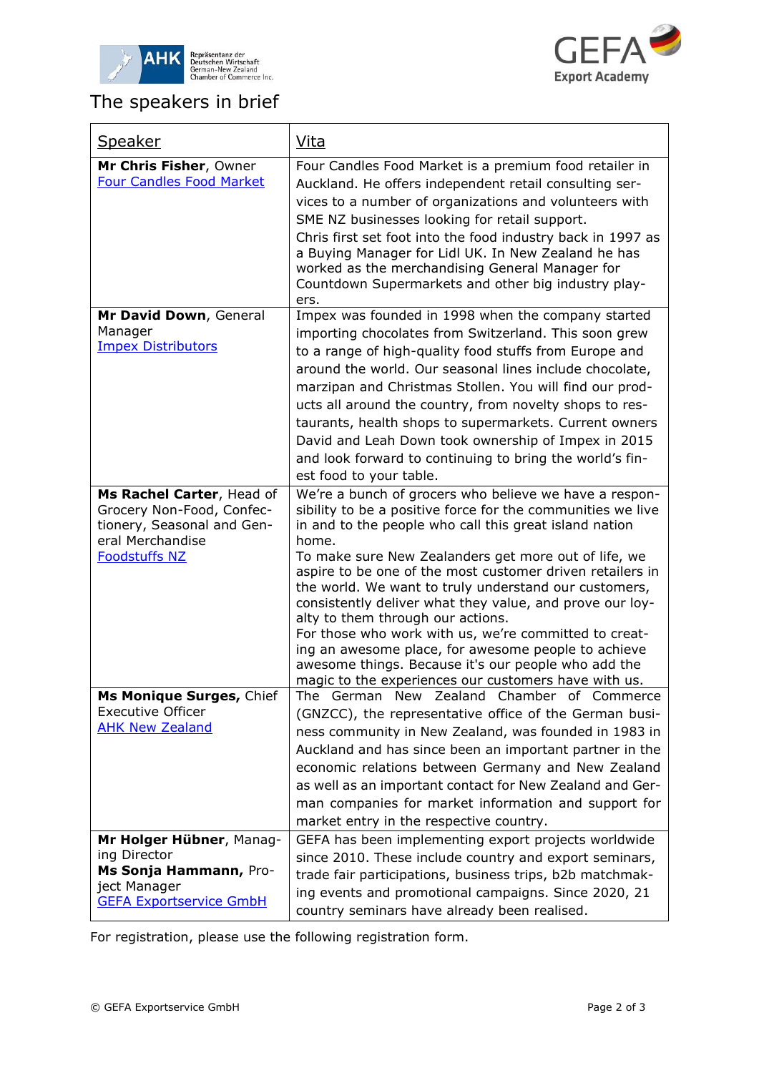



 $\overline{\mathsf{I}}$ 

# The speakers in brief

 $\Gamma$ 

| <b>Speaker</b>                                                                                                                   | Vita                                                                                                                                                                                                                                                                                                                                                                                                                                                                                                                                                                                                                                                                                                   |
|----------------------------------------------------------------------------------------------------------------------------------|--------------------------------------------------------------------------------------------------------------------------------------------------------------------------------------------------------------------------------------------------------------------------------------------------------------------------------------------------------------------------------------------------------------------------------------------------------------------------------------------------------------------------------------------------------------------------------------------------------------------------------------------------------------------------------------------------------|
| Mr Chris Fisher, Owner<br><b>Four Candles Food Market</b>                                                                        | Four Candles Food Market is a premium food retailer in<br>Auckland. He offers independent retail consulting ser-<br>vices to a number of organizations and volunteers with<br>SME NZ businesses looking for retail support.<br>Chris first set foot into the food industry back in 1997 as<br>a Buying Manager for Lidl UK. In New Zealand he has<br>worked as the merchandising General Manager for<br>Countdown Supermarkets and other big industry play-<br>ers.                                                                                                                                                                                                                                    |
| Mr David Down, General<br>Manager<br><b>Impex Distributors</b>                                                                   | Impex was founded in 1998 when the company started<br>importing chocolates from Switzerland. This soon grew<br>to a range of high-quality food stuffs from Europe and<br>around the world. Our seasonal lines include chocolate,<br>marzipan and Christmas Stollen. You will find our prod-<br>ucts all around the country, from novelty shops to res-<br>taurants, health shops to supermarkets. Current owners<br>David and Leah Down took ownership of Impex in 2015<br>and look forward to continuing to bring the world's fin-<br>est food to your table.                                                                                                                                         |
| Ms Rachel Carter, Head of<br>Grocery Non-Food, Confec-<br>tionery, Seasonal and Gen-<br>eral Merchandise<br><b>Foodstuffs NZ</b> | We're a bunch of grocers who believe we have a respon-<br>sibility to be a positive force for the communities we live<br>in and to the people who call this great island nation<br>home.<br>To make sure New Zealanders get more out of life, we<br>aspire to be one of the most customer driven retailers in<br>the world. We want to truly understand our customers,<br>consistently deliver what they value, and prove our loy-<br>alty to them through our actions.<br>For those who work with us, we're committed to creat-<br>ing an awesome place, for awesome people to achieve<br>awesome things. Because it's our people who add the<br>magic to the experiences our customers have with us. |
| <b>Ms Monique Surges, Chief</b><br><b>Executive Officer</b><br><b>AHK New Zealand</b>                                            | The German New Zealand Chamber of Commerce<br>(GNZCC), the representative office of the German busi-<br>ness community in New Zealand, was founded in 1983 in<br>Auckland and has since been an important partner in the<br>economic relations between Germany and New Zealand<br>as well as an important contact for New Zealand and Ger-<br>man companies for market information and support for<br>market entry in the respective country.                                                                                                                                                                                                                                                          |
| Mr Holger Hübner, Manag-<br>ing Director<br>Ms Sonja Hammann, Pro-<br>ject Manager<br><b>GEFA Exportservice GmbH</b>             | GEFA has been implementing export projects worldwide<br>since 2010. These include country and export seminars,<br>trade fair participations, business trips, b2b matchmak-<br>ing events and promotional campaigns. Since 2020, 21<br>country seminars have already been realised.                                                                                                                                                                                                                                                                                                                                                                                                                     |

For registration, please use the following registration form.